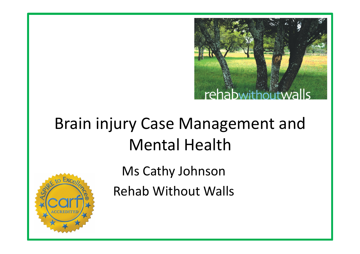

#### Brain injury Case Management and **Mental Health**

Ms Cathy Johnson

Rehab Without Walls 

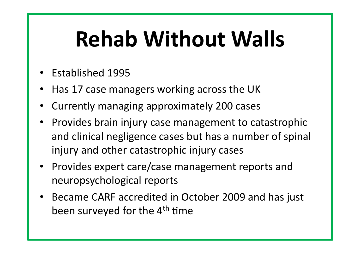# **Rehab Without Walls**

- Established 1995
- Has 17 case managers working across the UK
- Currently managing approximately 200 cases
- Provides brain injury case management to catastrophic and clinical negligence cases but has a number of spinal injury and other catastrophic injury cases
- Provides expert care/case management reports and neuropsychological reports
- Became CARF accredited in October 2009 and has just been surveyed for the 4<sup>th</sup> time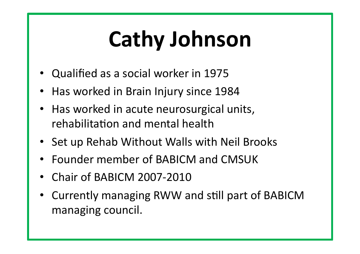# **Cathy Johnson**

- Qualified as a social worker in 1975
- Has worked in Brain Injury since 1984
- Has worked in acute neurosurgical units, rehabilitation and mental health
- Set up Rehab Without Walls with Neil Brooks
- Founder member of BABICM and CMSUK
- Chair of BABICM 2007-2010
- Currently managing RWW and still part of BABICM managing council.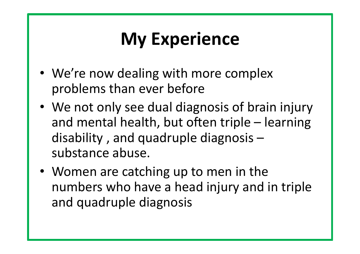### **My Experience**

- We're now dealing with more complex problems than ever before
- We not only see dual diagnosis of brain injury and mental health, but often triple – learning disability, and quadruple diagnosis  $$ substance abuse.
- Women are catching up to men in the numbers who have a head injury and in triple and quadruple diagnosis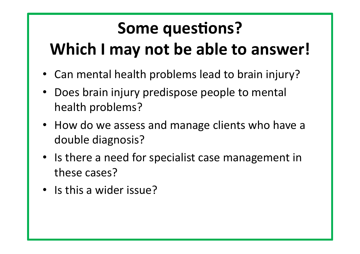#### **Some questions? Which I may not be able to answer!**

- Can mental health problems lead to brain injury?
- Does brain injury predispose people to mental health problems?
- How do we assess and manage clients who have a double diagnosis?
- Is there a need for specialist case management in these cases?
- Is this a wider issue?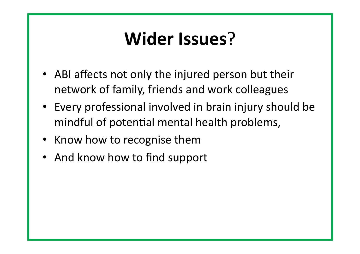#### **Wider Issues**?

- ABI affects not only the injured person but their network of family, friends and work colleagues
- Every professional involved in brain injury should be mindful of potential mental health problems,
- Know how to recognise them
- And know how to find support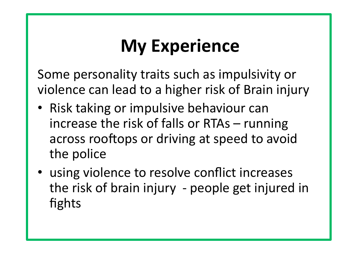### **My Experience**

Some personality traits such as impulsivity or violence can lead to a higher risk of Brain injury

- Risk taking or impulsive behaviour can increase the risk of falls or RTAs  $-$  running across rooftops or driving at speed to avoid the police
- using violence to resolve conflict increases the risk of brain injury - people get injured in fights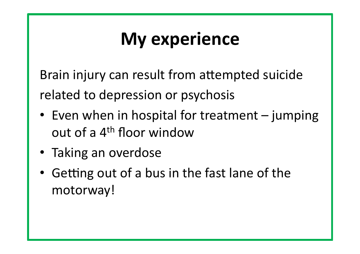### **My experience**

Brain injury can result from attempted suicide related to depression or psychosis

- Even when in hospital for treatment jumping out of a  $4<sup>th</sup>$  floor window
- Taking an overdose
- Getting out of a bus in the fast lane of the motorway!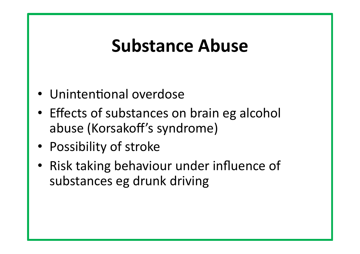#### **Substance Abuse**

- Unintentional overdose
- Effects of substances on brain eg alcohol abuse (Korsakoff's syndrome)
- Possibility of stroke
- Risk taking behaviour under influence of substances eg drunk driving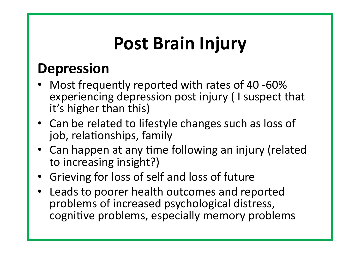# **Post Brain Injury**

#### **Depression**

- Most frequently reported with rates of 40 -60% experiencing depression post injury (I suspect that it's higher than this)
- Can be related to lifestyle changes such as loss of job, relationships, family
- Can happen at any time following an injury (related to increasing insight?)
- Grieving for loss of self and loss of future
- Leads to poorer health outcomes and reported problems of increased psychological distress, cognitive problems, especially memory problems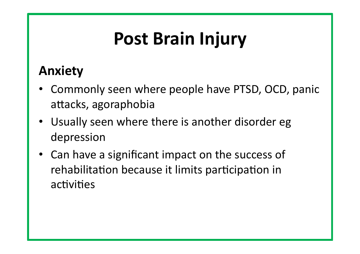# **Post Brain Injury**

#### **Anxiety**

- Commonly seen where people have PTSD, OCD, panic attacks, agoraphobia
- Usually seen where there is another disorder egota depression
- Can have a significant impact on the success of rehabilitation because it limits participation in activities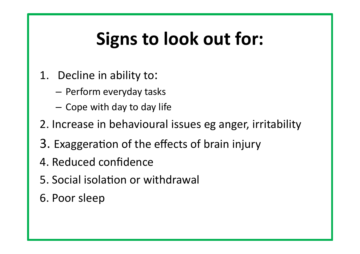## **Signs to look out for:**

- 1. Decline in ability to:
	- $-$  Perform everyday tasks
	- $-$  Cope with day to day life
- 2. Increase in behavioural issues eg anger, irritability
- 3. Exaggeration of the effects of brain injury
- 4. Reduced confidence
- 5. Social isolation or withdrawal
- 6. Poor sleep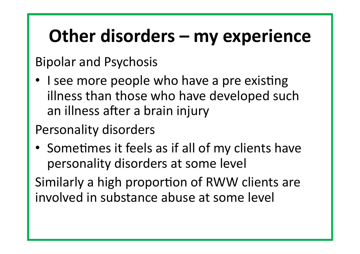### **Other disorders – my experience**

**Bipolar and Psychosis** 

• I see more people who have a pre existing illness than those who have developed such an illness after a brain injury

#### Personality disorders

• Sometimes it feels as if all of my clients have personality disorders at some level

Similarly a high proportion of RWW clients are involved in substance abuse at some level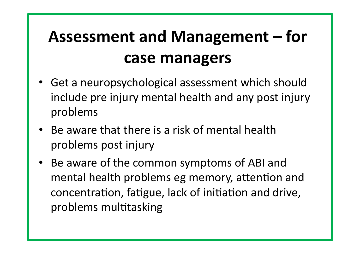#### Assessment and Management – for **case managers**

- Get a neuropsychological assessment which should include pre injury mental health and any post injury problems
- Be aware that there is a risk of mental health problems post injury
- Be aware of the common symptoms of ABI and mental health problems eg memory, attention and concentration, fatigue, lack of initiation and drive, problems multitasking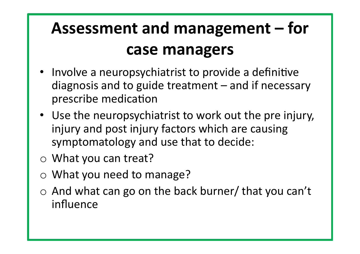#### Assessment and management – for **case managers**

- Involve a neuropsychiatrist to provide a definitive diagnosis and to guide treatment  $-$  and if necessary prescribe medication
- Use the neuropsychiatrist to work out the pre injury, injury and post injury factors which are causing symptomatology and use that to decide:
- $\circ$  What you can treat?
- $\circ$  What you need to manage?
- $\circ$  And what can go on the back burner/ that you can't influence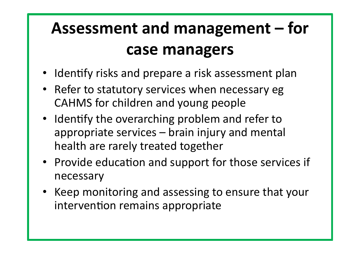#### Assessment and management – for **case managers**

- Identify risks and prepare a risk assessment plan
- Refer to statutory services when necessary eg CAHMS for children and young people
- Identify the overarching problem and refer to appropriate services – brain injury and mental health are rarely treated together
- Provide education and support for those services if necessary
- Keep monitoring and assessing to ensure that your intervention remains appropriate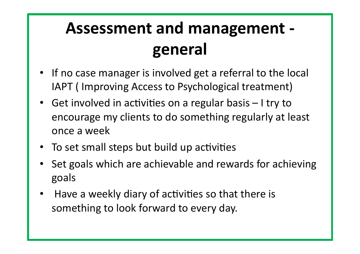#### **Assessment and management general**

- If no case manager is involved get a referral to the local IAPT (Improving Access to Psychological treatment)
- Get involved in activities on a regular basis  $-1$  try to encourage my clients to do something regularly at least once a week
- To set small steps but build up activities
- Set goals which are achievable and rewards for achieving goals
- Have a weekly diary of activities so that there is something to look forward to every day.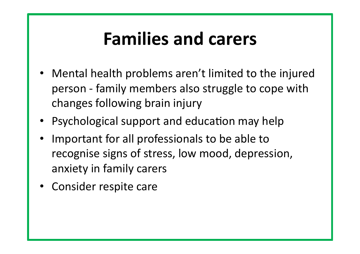#### **Families and carers**

- Mental health problems aren't limited to the injured person - family members also struggle to cope with changes following brain injury
- Psychological support and education may help
- Important for all professionals to be able to recognise signs of stress, low mood, depression, anxiety in family carers
- Consider respite care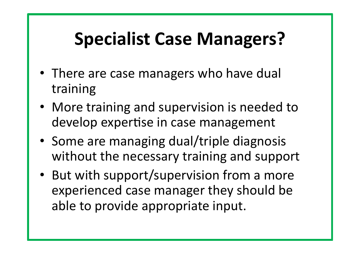### **Specialist Case Managers?**

- There are case managers who have dual training
- More training and supervision is needed to develop expertise in case management
- Some are managing dual/triple diagnosis without the necessary training and support
- But with support/supervision from a more experienced case manager they should be able to provide appropriate input.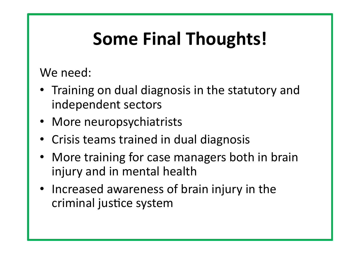# **Some Final Thoughts!**

We need:

- Training on dual diagnosis in the statutory and independent sectors
- More neuropsychiatrists
- Crisis teams trained in dual diagnosis
- More training for case managers both in brain injury and in mental health
- Increased awareness of brain injury in the criminal justice system